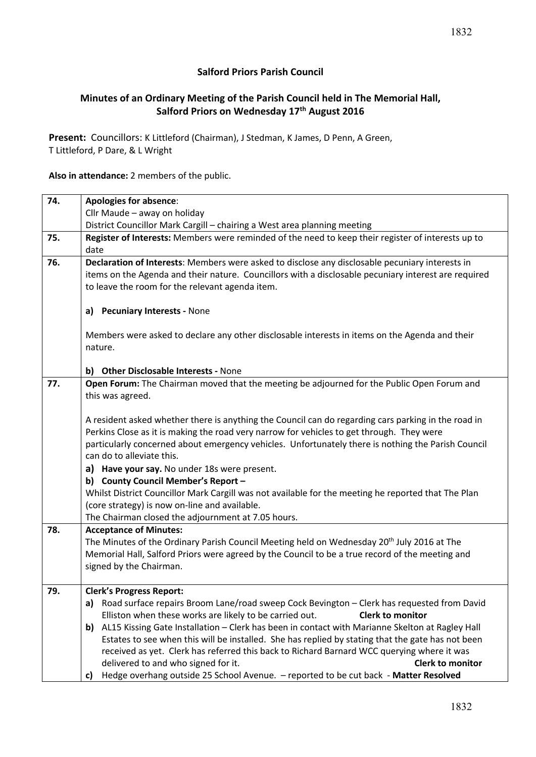## **Minutes of an Ordinary Meeting of the Parish Council held in The Memorial Hall, Salford Priors on Wednesday 17th August 2016**

**Present:** Councillors: K Littleford (Chairman), J Stedman, K James, D Penn, A Green, T Littleford, P Dare, & L Wright

**Also in attendance:** 2 members of the public.

| 74. | <b>Apologies for absence:</b>                                                                              |  |  |  |  |
|-----|------------------------------------------------------------------------------------------------------------|--|--|--|--|
|     | Cllr Maude - away on holiday                                                                               |  |  |  |  |
|     | District Councillor Mark Cargill - chairing a West area planning meeting                                   |  |  |  |  |
| 75. | Register of Interests: Members were reminded of the need to keep their register of interests up to<br>date |  |  |  |  |
| 76. | Declaration of Interests: Members were asked to disclose any disclosable pecuniary interests in            |  |  |  |  |
|     | items on the Agenda and their nature. Councillors with a disclosable pecuniary interest are required       |  |  |  |  |
|     | to leave the room for the relevant agenda item.                                                            |  |  |  |  |
|     | a) Pecuniary Interests - None                                                                              |  |  |  |  |
|     | Members were asked to declare any other disclosable interests in items on the Agenda and their             |  |  |  |  |
|     | nature.                                                                                                    |  |  |  |  |
|     | b) Other Disclosable Interests - None                                                                      |  |  |  |  |
| 77. | Open Forum: The Chairman moved that the meeting be adjourned for the Public Open Forum and                 |  |  |  |  |
|     | this was agreed.                                                                                           |  |  |  |  |
|     |                                                                                                            |  |  |  |  |
|     | A resident asked whether there is anything the Council can do regarding cars parking in the road in        |  |  |  |  |
|     | Perkins Close as it is making the road very narrow for vehicles to get through. They were                  |  |  |  |  |
|     | particularly concerned about emergency vehicles. Unfortunately there is nothing the Parish Council         |  |  |  |  |
|     | can do to alleviate this.                                                                                  |  |  |  |  |
|     | a) Have your say. No under 18s were present.<br>b) County Council Member's Report -                        |  |  |  |  |
|     | Whilst District Councillor Mark Cargill was not available for the meeting he reported that The Plan        |  |  |  |  |
|     | (core strategy) is now on-line and available.                                                              |  |  |  |  |
|     | The Chairman closed the adjournment at 7.05 hours.                                                         |  |  |  |  |
| 78. | <b>Acceptance of Minutes:</b>                                                                              |  |  |  |  |
|     | The Minutes of the Ordinary Parish Council Meeting held on Wednesday 20 <sup>th</sup> July 2016 at The     |  |  |  |  |
|     | Memorial Hall, Salford Priors were agreed by the Council to be a true record of the meeting and            |  |  |  |  |
|     | signed by the Chairman.                                                                                    |  |  |  |  |
| 79. | <b>Clerk's Progress Report:</b>                                                                            |  |  |  |  |
|     | a) Road surface repairs Broom Lane/road sweep Cock Bevington – Clerk has requested from David              |  |  |  |  |
|     | Elliston when these works are likely to be carried out.<br><b>Clerk to monitor</b>                         |  |  |  |  |
|     | AL15 Kissing Gate Installation - Clerk has been in contact with Marianne Skelton at Ragley Hall<br>b)      |  |  |  |  |
|     | Estates to see when this will be installed. She has replied by stating that the gate has not been          |  |  |  |  |
|     | received as yet. Clerk has referred this back to Richard Barnard WCC querying where it was                 |  |  |  |  |
|     | delivered to and who signed for it.<br><b>Clerk to monitor</b>                                             |  |  |  |  |
|     | Hedge overhang outside 25 School Avenue. - reported to be cut back - Matter Resolved<br>C)                 |  |  |  |  |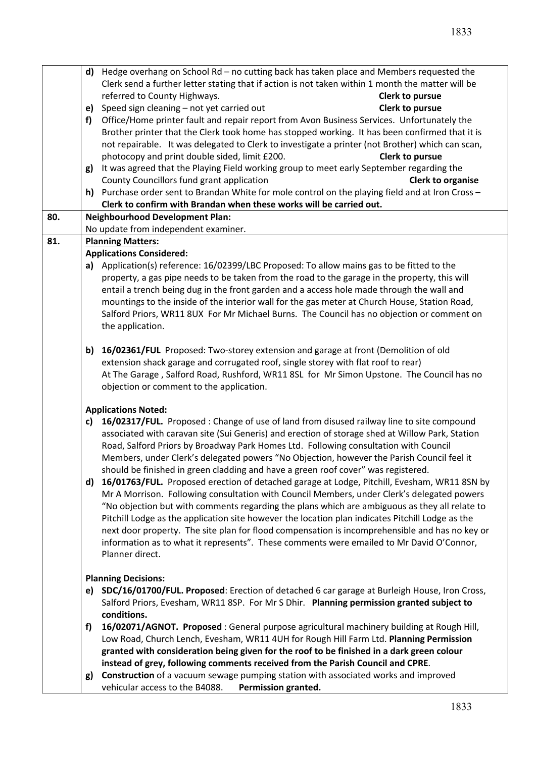| Clerk send a further letter stating that if action is not taken within 1 month the matter will be<br>referred to County Highways.<br>Clerk to pursue<br>Speed sign cleaning - not yet carried out<br>Clerk to pursue<br>e)<br>Office/Home printer fault and repair report from Avon Business Services. Unfortunately the<br>f)<br>Brother printer that the Clerk took home has stopped working. It has been confirmed that it is<br>not repairable. It was delegated to Clerk to investigate a printer (not Brother) which can scan,<br>photocopy and print double sided, limit £200.<br>Clerk to pursue<br>g) It was agreed that the Playing Field working group to meet early September regarding the<br>County Councillors fund grant application<br><b>Clerk to organise</b><br>h) Purchase order sent to Brandan White for mole control on the playing field and at Iron Cross $-$<br>Clerk to confirm with Brandan when these works will be carried out.<br><b>Neighbourhood Development Plan:</b><br>80.<br>No update from independent examiner.<br>81.<br><b>Planning Matters:</b><br><b>Applications Considered:</b><br>a) Application(s) reference: 16/02399/LBC Proposed: To allow mains gas to be fitted to the<br>property, a gas pipe needs to be taken from the road to the garage in the property, this will<br>entail a trench being dug in the front garden and a access hole made through the wall and<br>mountings to the inside of the interior wall for the gas meter at Church House, Station Road,<br>Salford Priors, WR11 8UX For Mr Michael Burns. The Council has no objection or comment on<br>the application.<br>b) 16/02361/FUL Proposed: Two-storey extension and garage at front (Demolition of old<br>extension shack garage and corrugated roof, single storey with flat roof to rear)<br>At The Garage, Salford Road, Rushford, WR11 8SL for Mr Simon Upstone. The Council has no<br>objection or comment to the application.<br><b>Applications Noted:</b><br>c) 16/02317/FUL. Proposed: Change of use of land from disused railway line to site compound<br>associated with caravan site (Sui Generis) and erection of storage shed at Willow Park, Station<br>Road, Salford Priors by Broadway Park Homes Ltd. Following consultation with Council<br>Members, under Clerk's delegated powers "No Objection, however the Parish Council feel it<br>should be finished in green cladding and have a green roof cover" was registered.<br>16/01763/FUL. Proposed erection of detached garage at Lodge, Pitchill, Evesham, WR11 8SN by<br>d)<br>Mr A Morrison. Following consultation with Council Members, under Clerk's delegated powers<br>"No objection but with comments regarding the plans which are ambiguous as they all relate to<br>Pitchill Lodge as the application site however the location plan indicates Pitchill Lodge as the<br>next door property. The site plan for flood compensation is incomprehensible and has no key or<br>information as to what it represents". These comments were emailed to Mr David O'Connor,<br>Planner direct.<br><b>Planning Decisions:</b><br>e) SDC/16/01700/FUL. Proposed: Erection of detached 6 car garage at Burleigh House, Iron Cross,<br>Salford Priors, Evesham, WR11 8SP. For Mr S Dhir. Planning permission granted subject to<br>conditions.<br>16/02071/AGNOT. Proposed : General purpose agricultural machinery building at Rough Hill,<br>f)<br>Low Road, Church Lench, Evesham, WR11 4UH for Rough Hill Farm Ltd. Planning Permission<br>granted with consideration being given for the roof to be finished in a dark green colour<br>instead of grey, following comments received from the Parish Council and CPRE.<br>Construction of a vacuum sewage pumping station with associated works and improved<br>g) |  | d) Hedge overhang on School Rd – no cutting back has taken place and Members requested the |  |  |  |  |
|--------------------------------------------------------------------------------------------------------------------------------------------------------------------------------------------------------------------------------------------------------------------------------------------------------------------------------------------------------------------------------------------------------------------------------------------------------------------------------------------------------------------------------------------------------------------------------------------------------------------------------------------------------------------------------------------------------------------------------------------------------------------------------------------------------------------------------------------------------------------------------------------------------------------------------------------------------------------------------------------------------------------------------------------------------------------------------------------------------------------------------------------------------------------------------------------------------------------------------------------------------------------------------------------------------------------------------------------------------------------------------------------------------------------------------------------------------------------------------------------------------------------------------------------------------------------------------------------------------------------------------------------------------------------------------------------------------------------------------------------------------------------------------------------------------------------------------------------------------------------------------------------------------------------------------------------------------------------------------------------------------------------------------------------------------------------------------------------------------------------------------------------------------------------------------------------------------------------------------------------------------------------------------------------------------------------------------------------------------------------------------------------------------------------------------------------------------------------------------------------------------------------------------------------------------------------------------------------------------------------------------------------------------------------------------------------------------------------------------------------------------------------------------------------------------------------------------------------------------------------------------------------------------------------------------------------------------------------------------------------------------------------------------------------------------------------------------------------------------------------------------------------------------------------------------------------------------------------------------------------------------------------------------------------------------------------------------------------------------------------------------------------------------------------------------------------------------------------------------------------------------------------------------------------------------------------------------------------------------------------------------------------------------------------------------------------------------------------------------------------------------------------------------------------------------------------------|--|--------------------------------------------------------------------------------------------|--|--|--|--|
|                                                                                                                                                                                                                                                                                                                                                                                                                                                                                                                                                                                                                                                                                                                                                                                                                                                                                                                                                                                                                                                                                                                                                                                                                                                                                                                                                                                                                                                                                                                                                                                                                                                                                                                                                                                                                                                                                                                                                                                                                                                                                                                                                                                                                                                                                                                                                                                                                                                                                                                                                                                                                                                                                                                                                                                                                                                                                                                                                                                                                                                                                                                                                                                                                                                                                                                                                                                                                                                                                                                                                                                                                                                                                                                                                                                                                          |  |                                                                                            |  |  |  |  |
|                                                                                                                                                                                                                                                                                                                                                                                                                                                                                                                                                                                                                                                                                                                                                                                                                                                                                                                                                                                                                                                                                                                                                                                                                                                                                                                                                                                                                                                                                                                                                                                                                                                                                                                                                                                                                                                                                                                                                                                                                                                                                                                                                                                                                                                                                                                                                                                                                                                                                                                                                                                                                                                                                                                                                                                                                                                                                                                                                                                                                                                                                                                                                                                                                                                                                                                                                                                                                                                                                                                                                                                                                                                                                                                                                                                                                          |  |                                                                                            |  |  |  |  |
|                                                                                                                                                                                                                                                                                                                                                                                                                                                                                                                                                                                                                                                                                                                                                                                                                                                                                                                                                                                                                                                                                                                                                                                                                                                                                                                                                                                                                                                                                                                                                                                                                                                                                                                                                                                                                                                                                                                                                                                                                                                                                                                                                                                                                                                                                                                                                                                                                                                                                                                                                                                                                                                                                                                                                                                                                                                                                                                                                                                                                                                                                                                                                                                                                                                                                                                                                                                                                                                                                                                                                                                                                                                                                                                                                                                                                          |  |                                                                                            |  |  |  |  |
|                                                                                                                                                                                                                                                                                                                                                                                                                                                                                                                                                                                                                                                                                                                                                                                                                                                                                                                                                                                                                                                                                                                                                                                                                                                                                                                                                                                                                                                                                                                                                                                                                                                                                                                                                                                                                                                                                                                                                                                                                                                                                                                                                                                                                                                                                                                                                                                                                                                                                                                                                                                                                                                                                                                                                                                                                                                                                                                                                                                                                                                                                                                                                                                                                                                                                                                                                                                                                                                                                                                                                                                                                                                                                                                                                                                                                          |  |                                                                                            |  |  |  |  |
|                                                                                                                                                                                                                                                                                                                                                                                                                                                                                                                                                                                                                                                                                                                                                                                                                                                                                                                                                                                                                                                                                                                                                                                                                                                                                                                                                                                                                                                                                                                                                                                                                                                                                                                                                                                                                                                                                                                                                                                                                                                                                                                                                                                                                                                                                                                                                                                                                                                                                                                                                                                                                                                                                                                                                                                                                                                                                                                                                                                                                                                                                                                                                                                                                                                                                                                                                                                                                                                                                                                                                                                                                                                                                                                                                                                                                          |  |                                                                                            |  |  |  |  |
|                                                                                                                                                                                                                                                                                                                                                                                                                                                                                                                                                                                                                                                                                                                                                                                                                                                                                                                                                                                                                                                                                                                                                                                                                                                                                                                                                                                                                                                                                                                                                                                                                                                                                                                                                                                                                                                                                                                                                                                                                                                                                                                                                                                                                                                                                                                                                                                                                                                                                                                                                                                                                                                                                                                                                                                                                                                                                                                                                                                                                                                                                                                                                                                                                                                                                                                                                                                                                                                                                                                                                                                                                                                                                                                                                                                                                          |  |                                                                                            |  |  |  |  |
|                                                                                                                                                                                                                                                                                                                                                                                                                                                                                                                                                                                                                                                                                                                                                                                                                                                                                                                                                                                                                                                                                                                                                                                                                                                                                                                                                                                                                                                                                                                                                                                                                                                                                                                                                                                                                                                                                                                                                                                                                                                                                                                                                                                                                                                                                                                                                                                                                                                                                                                                                                                                                                                                                                                                                                                                                                                                                                                                                                                                                                                                                                                                                                                                                                                                                                                                                                                                                                                                                                                                                                                                                                                                                                                                                                                                                          |  |                                                                                            |  |  |  |  |
|                                                                                                                                                                                                                                                                                                                                                                                                                                                                                                                                                                                                                                                                                                                                                                                                                                                                                                                                                                                                                                                                                                                                                                                                                                                                                                                                                                                                                                                                                                                                                                                                                                                                                                                                                                                                                                                                                                                                                                                                                                                                                                                                                                                                                                                                                                                                                                                                                                                                                                                                                                                                                                                                                                                                                                                                                                                                                                                                                                                                                                                                                                                                                                                                                                                                                                                                                                                                                                                                                                                                                                                                                                                                                                                                                                                                                          |  |                                                                                            |  |  |  |  |
|                                                                                                                                                                                                                                                                                                                                                                                                                                                                                                                                                                                                                                                                                                                                                                                                                                                                                                                                                                                                                                                                                                                                                                                                                                                                                                                                                                                                                                                                                                                                                                                                                                                                                                                                                                                                                                                                                                                                                                                                                                                                                                                                                                                                                                                                                                                                                                                                                                                                                                                                                                                                                                                                                                                                                                                                                                                                                                                                                                                                                                                                                                                                                                                                                                                                                                                                                                                                                                                                                                                                                                                                                                                                                                                                                                                                                          |  |                                                                                            |  |  |  |  |
|                                                                                                                                                                                                                                                                                                                                                                                                                                                                                                                                                                                                                                                                                                                                                                                                                                                                                                                                                                                                                                                                                                                                                                                                                                                                                                                                                                                                                                                                                                                                                                                                                                                                                                                                                                                                                                                                                                                                                                                                                                                                                                                                                                                                                                                                                                                                                                                                                                                                                                                                                                                                                                                                                                                                                                                                                                                                                                                                                                                                                                                                                                                                                                                                                                                                                                                                                                                                                                                                                                                                                                                                                                                                                                                                                                                                                          |  |                                                                                            |  |  |  |  |
|                                                                                                                                                                                                                                                                                                                                                                                                                                                                                                                                                                                                                                                                                                                                                                                                                                                                                                                                                                                                                                                                                                                                                                                                                                                                                                                                                                                                                                                                                                                                                                                                                                                                                                                                                                                                                                                                                                                                                                                                                                                                                                                                                                                                                                                                                                                                                                                                                                                                                                                                                                                                                                                                                                                                                                                                                                                                                                                                                                                                                                                                                                                                                                                                                                                                                                                                                                                                                                                                                                                                                                                                                                                                                                                                                                                                                          |  |                                                                                            |  |  |  |  |
|                                                                                                                                                                                                                                                                                                                                                                                                                                                                                                                                                                                                                                                                                                                                                                                                                                                                                                                                                                                                                                                                                                                                                                                                                                                                                                                                                                                                                                                                                                                                                                                                                                                                                                                                                                                                                                                                                                                                                                                                                                                                                                                                                                                                                                                                                                                                                                                                                                                                                                                                                                                                                                                                                                                                                                                                                                                                                                                                                                                                                                                                                                                                                                                                                                                                                                                                                                                                                                                                                                                                                                                                                                                                                                                                                                                                                          |  |                                                                                            |  |  |  |  |
|                                                                                                                                                                                                                                                                                                                                                                                                                                                                                                                                                                                                                                                                                                                                                                                                                                                                                                                                                                                                                                                                                                                                                                                                                                                                                                                                                                                                                                                                                                                                                                                                                                                                                                                                                                                                                                                                                                                                                                                                                                                                                                                                                                                                                                                                                                                                                                                                                                                                                                                                                                                                                                                                                                                                                                                                                                                                                                                                                                                                                                                                                                                                                                                                                                                                                                                                                                                                                                                                                                                                                                                                                                                                                                                                                                                                                          |  |                                                                                            |  |  |  |  |
|                                                                                                                                                                                                                                                                                                                                                                                                                                                                                                                                                                                                                                                                                                                                                                                                                                                                                                                                                                                                                                                                                                                                                                                                                                                                                                                                                                                                                                                                                                                                                                                                                                                                                                                                                                                                                                                                                                                                                                                                                                                                                                                                                                                                                                                                                                                                                                                                                                                                                                                                                                                                                                                                                                                                                                                                                                                                                                                                                                                                                                                                                                                                                                                                                                                                                                                                                                                                                                                                                                                                                                                                                                                                                                                                                                                                                          |  |                                                                                            |  |  |  |  |
|                                                                                                                                                                                                                                                                                                                                                                                                                                                                                                                                                                                                                                                                                                                                                                                                                                                                                                                                                                                                                                                                                                                                                                                                                                                                                                                                                                                                                                                                                                                                                                                                                                                                                                                                                                                                                                                                                                                                                                                                                                                                                                                                                                                                                                                                                                                                                                                                                                                                                                                                                                                                                                                                                                                                                                                                                                                                                                                                                                                                                                                                                                                                                                                                                                                                                                                                                                                                                                                                                                                                                                                                                                                                                                                                                                                                                          |  |                                                                                            |  |  |  |  |
|                                                                                                                                                                                                                                                                                                                                                                                                                                                                                                                                                                                                                                                                                                                                                                                                                                                                                                                                                                                                                                                                                                                                                                                                                                                                                                                                                                                                                                                                                                                                                                                                                                                                                                                                                                                                                                                                                                                                                                                                                                                                                                                                                                                                                                                                                                                                                                                                                                                                                                                                                                                                                                                                                                                                                                                                                                                                                                                                                                                                                                                                                                                                                                                                                                                                                                                                                                                                                                                                                                                                                                                                                                                                                                                                                                                                                          |  |                                                                                            |  |  |  |  |
|                                                                                                                                                                                                                                                                                                                                                                                                                                                                                                                                                                                                                                                                                                                                                                                                                                                                                                                                                                                                                                                                                                                                                                                                                                                                                                                                                                                                                                                                                                                                                                                                                                                                                                                                                                                                                                                                                                                                                                                                                                                                                                                                                                                                                                                                                                                                                                                                                                                                                                                                                                                                                                                                                                                                                                                                                                                                                                                                                                                                                                                                                                                                                                                                                                                                                                                                                                                                                                                                                                                                                                                                                                                                                                                                                                                                                          |  |                                                                                            |  |  |  |  |
|                                                                                                                                                                                                                                                                                                                                                                                                                                                                                                                                                                                                                                                                                                                                                                                                                                                                                                                                                                                                                                                                                                                                                                                                                                                                                                                                                                                                                                                                                                                                                                                                                                                                                                                                                                                                                                                                                                                                                                                                                                                                                                                                                                                                                                                                                                                                                                                                                                                                                                                                                                                                                                                                                                                                                                                                                                                                                                                                                                                                                                                                                                                                                                                                                                                                                                                                                                                                                                                                                                                                                                                                                                                                                                                                                                                                                          |  |                                                                                            |  |  |  |  |
|                                                                                                                                                                                                                                                                                                                                                                                                                                                                                                                                                                                                                                                                                                                                                                                                                                                                                                                                                                                                                                                                                                                                                                                                                                                                                                                                                                                                                                                                                                                                                                                                                                                                                                                                                                                                                                                                                                                                                                                                                                                                                                                                                                                                                                                                                                                                                                                                                                                                                                                                                                                                                                                                                                                                                                                                                                                                                                                                                                                                                                                                                                                                                                                                                                                                                                                                                                                                                                                                                                                                                                                                                                                                                                                                                                                                                          |  |                                                                                            |  |  |  |  |
|                                                                                                                                                                                                                                                                                                                                                                                                                                                                                                                                                                                                                                                                                                                                                                                                                                                                                                                                                                                                                                                                                                                                                                                                                                                                                                                                                                                                                                                                                                                                                                                                                                                                                                                                                                                                                                                                                                                                                                                                                                                                                                                                                                                                                                                                                                                                                                                                                                                                                                                                                                                                                                                                                                                                                                                                                                                                                                                                                                                                                                                                                                                                                                                                                                                                                                                                                                                                                                                                                                                                                                                                                                                                                                                                                                                                                          |  |                                                                                            |  |  |  |  |
|                                                                                                                                                                                                                                                                                                                                                                                                                                                                                                                                                                                                                                                                                                                                                                                                                                                                                                                                                                                                                                                                                                                                                                                                                                                                                                                                                                                                                                                                                                                                                                                                                                                                                                                                                                                                                                                                                                                                                                                                                                                                                                                                                                                                                                                                                                                                                                                                                                                                                                                                                                                                                                                                                                                                                                                                                                                                                                                                                                                                                                                                                                                                                                                                                                                                                                                                                                                                                                                                                                                                                                                                                                                                                                                                                                                                                          |  |                                                                                            |  |  |  |  |
|                                                                                                                                                                                                                                                                                                                                                                                                                                                                                                                                                                                                                                                                                                                                                                                                                                                                                                                                                                                                                                                                                                                                                                                                                                                                                                                                                                                                                                                                                                                                                                                                                                                                                                                                                                                                                                                                                                                                                                                                                                                                                                                                                                                                                                                                                                                                                                                                                                                                                                                                                                                                                                                                                                                                                                                                                                                                                                                                                                                                                                                                                                                                                                                                                                                                                                                                                                                                                                                                                                                                                                                                                                                                                                                                                                                                                          |  |                                                                                            |  |  |  |  |
|                                                                                                                                                                                                                                                                                                                                                                                                                                                                                                                                                                                                                                                                                                                                                                                                                                                                                                                                                                                                                                                                                                                                                                                                                                                                                                                                                                                                                                                                                                                                                                                                                                                                                                                                                                                                                                                                                                                                                                                                                                                                                                                                                                                                                                                                                                                                                                                                                                                                                                                                                                                                                                                                                                                                                                                                                                                                                                                                                                                                                                                                                                                                                                                                                                                                                                                                                                                                                                                                                                                                                                                                                                                                                                                                                                                                                          |  |                                                                                            |  |  |  |  |
|                                                                                                                                                                                                                                                                                                                                                                                                                                                                                                                                                                                                                                                                                                                                                                                                                                                                                                                                                                                                                                                                                                                                                                                                                                                                                                                                                                                                                                                                                                                                                                                                                                                                                                                                                                                                                                                                                                                                                                                                                                                                                                                                                                                                                                                                                                                                                                                                                                                                                                                                                                                                                                                                                                                                                                                                                                                                                                                                                                                                                                                                                                                                                                                                                                                                                                                                                                                                                                                                                                                                                                                                                                                                                                                                                                                                                          |  |                                                                                            |  |  |  |  |
|                                                                                                                                                                                                                                                                                                                                                                                                                                                                                                                                                                                                                                                                                                                                                                                                                                                                                                                                                                                                                                                                                                                                                                                                                                                                                                                                                                                                                                                                                                                                                                                                                                                                                                                                                                                                                                                                                                                                                                                                                                                                                                                                                                                                                                                                                                                                                                                                                                                                                                                                                                                                                                                                                                                                                                                                                                                                                                                                                                                                                                                                                                                                                                                                                                                                                                                                                                                                                                                                                                                                                                                                                                                                                                                                                                                                                          |  |                                                                                            |  |  |  |  |
|                                                                                                                                                                                                                                                                                                                                                                                                                                                                                                                                                                                                                                                                                                                                                                                                                                                                                                                                                                                                                                                                                                                                                                                                                                                                                                                                                                                                                                                                                                                                                                                                                                                                                                                                                                                                                                                                                                                                                                                                                                                                                                                                                                                                                                                                                                                                                                                                                                                                                                                                                                                                                                                                                                                                                                                                                                                                                                                                                                                                                                                                                                                                                                                                                                                                                                                                                                                                                                                                                                                                                                                                                                                                                                                                                                                                                          |  |                                                                                            |  |  |  |  |
|                                                                                                                                                                                                                                                                                                                                                                                                                                                                                                                                                                                                                                                                                                                                                                                                                                                                                                                                                                                                                                                                                                                                                                                                                                                                                                                                                                                                                                                                                                                                                                                                                                                                                                                                                                                                                                                                                                                                                                                                                                                                                                                                                                                                                                                                                                                                                                                                                                                                                                                                                                                                                                                                                                                                                                                                                                                                                                                                                                                                                                                                                                                                                                                                                                                                                                                                                                                                                                                                                                                                                                                                                                                                                                                                                                                                                          |  |                                                                                            |  |  |  |  |
|                                                                                                                                                                                                                                                                                                                                                                                                                                                                                                                                                                                                                                                                                                                                                                                                                                                                                                                                                                                                                                                                                                                                                                                                                                                                                                                                                                                                                                                                                                                                                                                                                                                                                                                                                                                                                                                                                                                                                                                                                                                                                                                                                                                                                                                                                                                                                                                                                                                                                                                                                                                                                                                                                                                                                                                                                                                                                                                                                                                                                                                                                                                                                                                                                                                                                                                                                                                                                                                                                                                                                                                                                                                                                                                                                                                                                          |  |                                                                                            |  |  |  |  |
|                                                                                                                                                                                                                                                                                                                                                                                                                                                                                                                                                                                                                                                                                                                                                                                                                                                                                                                                                                                                                                                                                                                                                                                                                                                                                                                                                                                                                                                                                                                                                                                                                                                                                                                                                                                                                                                                                                                                                                                                                                                                                                                                                                                                                                                                                                                                                                                                                                                                                                                                                                                                                                                                                                                                                                                                                                                                                                                                                                                                                                                                                                                                                                                                                                                                                                                                                                                                                                                                                                                                                                                                                                                                                                                                                                                                                          |  |                                                                                            |  |  |  |  |
|                                                                                                                                                                                                                                                                                                                                                                                                                                                                                                                                                                                                                                                                                                                                                                                                                                                                                                                                                                                                                                                                                                                                                                                                                                                                                                                                                                                                                                                                                                                                                                                                                                                                                                                                                                                                                                                                                                                                                                                                                                                                                                                                                                                                                                                                                                                                                                                                                                                                                                                                                                                                                                                                                                                                                                                                                                                                                                                                                                                                                                                                                                                                                                                                                                                                                                                                                                                                                                                                                                                                                                                                                                                                                                                                                                                                                          |  |                                                                                            |  |  |  |  |
|                                                                                                                                                                                                                                                                                                                                                                                                                                                                                                                                                                                                                                                                                                                                                                                                                                                                                                                                                                                                                                                                                                                                                                                                                                                                                                                                                                                                                                                                                                                                                                                                                                                                                                                                                                                                                                                                                                                                                                                                                                                                                                                                                                                                                                                                                                                                                                                                                                                                                                                                                                                                                                                                                                                                                                                                                                                                                                                                                                                                                                                                                                                                                                                                                                                                                                                                                                                                                                                                                                                                                                                                                                                                                                                                                                                                                          |  |                                                                                            |  |  |  |  |
|                                                                                                                                                                                                                                                                                                                                                                                                                                                                                                                                                                                                                                                                                                                                                                                                                                                                                                                                                                                                                                                                                                                                                                                                                                                                                                                                                                                                                                                                                                                                                                                                                                                                                                                                                                                                                                                                                                                                                                                                                                                                                                                                                                                                                                                                                                                                                                                                                                                                                                                                                                                                                                                                                                                                                                                                                                                                                                                                                                                                                                                                                                                                                                                                                                                                                                                                                                                                                                                                                                                                                                                                                                                                                                                                                                                                                          |  |                                                                                            |  |  |  |  |
|                                                                                                                                                                                                                                                                                                                                                                                                                                                                                                                                                                                                                                                                                                                                                                                                                                                                                                                                                                                                                                                                                                                                                                                                                                                                                                                                                                                                                                                                                                                                                                                                                                                                                                                                                                                                                                                                                                                                                                                                                                                                                                                                                                                                                                                                                                                                                                                                                                                                                                                                                                                                                                                                                                                                                                                                                                                                                                                                                                                                                                                                                                                                                                                                                                                                                                                                                                                                                                                                                                                                                                                                                                                                                                                                                                                                                          |  |                                                                                            |  |  |  |  |
|                                                                                                                                                                                                                                                                                                                                                                                                                                                                                                                                                                                                                                                                                                                                                                                                                                                                                                                                                                                                                                                                                                                                                                                                                                                                                                                                                                                                                                                                                                                                                                                                                                                                                                                                                                                                                                                                                                                                                                                                                                                                                                                                                                                                                                                                                                                                                                                                                                                                                                                                                                                                                                                                                                                                                                                                                                                                                                                                                                                                                                                                                                                                                                                                                                                                                                                                                                                                                                                                                                                                                                                                                                                                                                                                                                                                                          |  |                                                                                            |  |  |  |  |
|                                                                                                                                                                                                                                                                                                                                                                                                                                                                                                                                                                                                                                                                                                                                                                                                                                                                                                                                                                                                                                                                                                                                                                                                                                                                                                                                                                                                                                                                                                                                                                                                                                                                                                                                                                                                                                                                                                                                                                                                                                                                                                                                                                                                                                                                                                                                                                                                                                                                                                                                                                                                                                                                                                                                                                                                                                                                                                                                                                                                                                                                                                                                                                                                                                                                                                                                                                                                                                                                                                                                                                                                                                                                                                                                                                                                                          |  |                                                                                            |  |  |  |  |
|                                                                                                                                                                                                                                                                                                                                                                                                                                                                                                                                                                                                                                                                                                                                                                                                                                                                                                                                                                                                                                                                                                                                                                                                                                                                                                                                                                                                                                                                                                                                                                                                                                                                                                                                                                                                                                                                                                                                                                                                                                                                                                                                                                                                                                                                                                                                                                                                                                                                                                                                                                                                                                                                                                                                                                                                                                                                                                                                                                                                                                                                                                                                                                                                                                                                                                                                                                                                                                                                                                                                                                                                                                                                                                                                                                                                                          |  |                                                                                            |  |  |  |  |
|                                                                                                                                                                                                                                                                                                                                                                                                                                                                                                                                                                                                                                                                                                                                                                                                                                                                                                                                                                                                                                                                                                                                                                                                                                                                                                                                                                                                                                                                                                                                                                                                                                                                                                                                                                                                                                                                                                                                                                                                                                                                                                                                                                                                                                                                                                                                                                                                                                                                                                                                                                                                                                                                                                                                                                                                                                                                                                                                                                                                                                                                                                                                                                                                                                                                                                                                                                                                                                                                                                                                                                                                                                                                                                                                                                                                                          |  |                                                                                            |  |  |  |  |
|                                                                                                                                                                                                                                                                                                                                                                                                                                                                                                                                                                                                                                                                                                                                                                                                                                                                                                                                                                                                                                                                                                                                                                                                                                                                                                                                                                                                                                                                                                                                                                                                                                                                                                                                                                                                                                                                                                                                                                                                                                                                                                                                                                                                                                                                                                                                                                                                                                                                                                                                                                                                                                                                                                                                                                                                                                                                                                                                                                                                                                                                                                                                                                                                                                                                                                                                                                                                                                                                                                                                                                                                                                                                                                                                                                                                                          |  |                                                                                            |  |  |  |  |
|                                                                                                                                                                                                                                                                                                                                                                                                                                                                                                                                                                                                                                                                                                                                                                                                                                                                                                                                                                                                                                                                                                                                                                                                                                                                                                                                                                                                                                                                                                                                                                                                                                                                                                                                                                                                                                                                                                                                                                                                                                                                                                                                                                                                                                                                                                                                                                                                                                                                                                                                                                                                                                                                                                                                                                                                                                                                                                                                                                                                                                                                                                                                                                                                                                                                                                                                                                                                                                                                                                                                                                                                                                                                                                                                                                                                                          |  |                                                                                            |  |  |  |  |
|                                                                                                                                                                                                                                                                                                                                                                                                                                                                                                                                                                                                                                                                                                                                                                                                                                                                                                                                                                                                                                                                                                                                                                                                                                                                                                                                                                                                                                                                                                                                                                                                                                                                                                                                                                                                                                                                                                                                                                                                                                                                                                                                                                                                                                                                                                                                                                                                                                                                                                                                                                                                                                                                                                                                                                                                                                                                                                                                                                                                                                                                                                                                                                                                                                                                                                                                                                                                                                                                                                                                                                                                                                                                                                                                                                                                                          |  |                                                                                            |  |  |  |  |
|                                                                                                                                                                                                                                                                                                                                                                                                                                                                                                                                                                                                                                                                                                                                                                                                                                                                                                                                                                                                                                                                                                                                                                                                                                                                                                                                                                                                                                                                                                                                                                                                                                                                                                                                                                                                                                                                                                                                                                                                                                                                                                                                                                                                                                                                                                                                                                                                                                                                                                                                                                                                                                                                                                                                                                                                                                                                                                                                                                                                                                                                                                                                                                                                                                                                                                                                                                                                                                                                                                                                                                                                                                                                                                                                                                                                                          |  |                                                                                            |  |  |  |  |
|                                                                                                                                                                                                                                                                                                                                                                                                                                                                                                                                                                                                                                                                                                                                                                                                                                                                                                                                                                                                                                                                                                                                                                                                                                                                                                                                                                                                                                                                                                                                                                                                                                                                                                                                                                                                                                                                                                                                                                                                                                                                                                                                                                                                                                                                                                                                                                                                                                                                                                                                                                                                                                                                                                                                                                                                                                                                                                                                                                                                                                                                                                                                                                                                                                                                                                                                                                                                                                                                                                                                                                                                                                                                                                                                                                                                                          |  |                                                                                            |  |  |  |  |
|                                                                                                                                                                                                                                                                                                                                                                                                                                                                                                                                                                                                                                                                                                                                                                                                                                                                                                                                                                                                                                                                                                                                                                                                                                                                                                                                                                                                                                                                                                                                                                                                                                                                                                                                                                                                                                                                                                                                                                                                                                                                                                                                                                                                                                                                                                                                                                                                                                                                                                                                                                                                                                                                                                                                                                                                                                                                                                                                                                                                                                                                                                                                                                                                                                                                                                                                                                                                                                                                                                                                                                                                                                                                                                                                                                                                                          |  |                                                                                            |  |  |  |  |
|                                                                                                                                                                                                                                                                                                                                                                                                                                                                                                                                                                                                                                                                                                                                                                                                                                                                                                                                                                                                                                                                                                                                                                                                                                                                                                                                                                                                                                                                                                                                                                                                                                                                                                                                                                                                                                                                                                                                                                                                                                                                                                                                                                                                                                                                                                                                                                                                                                                                                                                                                                                                                                                                                                                                                                                                                                                                                                                                                                                                                                                                                                                                                                                                                                                                                                                                                                                                                                                                                                                                                                                                                                                                                                                                                                                                                          |  |                                                                                            |  |  |  |  |
|                                                                                                                                                                                                                                                                                                                                                                                                                                                                                                                                                                                                                                                                                                                                                                                                                                                                                                                                                                                                                                                                                                                                                                                                                                                                                                                                                                                                                                                                                                                                                                                                                                                                                                                                                                                                                                                                                                                                                                                                                                                                                                                                                                                                                                                                                                                                                                                                                                                                                                                                                                                                                                                                                                                                                                                                                                                                                                                                                                                                                                                                                                                                                                                                                                                                                                                                                                                                                                                                                                                                                                                                                                                                                                                                                                                                                          |  |                                                                                            |  |  |  |  |
|                                                                                                                                                                                                                                                                                                                                                                                                                                                                                                                                                                                                                                                                                                                                                                                                                                                                                                                                                                                                                                                                                                                                                                                                                                                                                                                                                                                                                                                                                                                                                                                                                                                                                                                                                                                                                                                                                                                                                                                                                                                                                                                                                                                                                                                                                                                                                                                                                                                                                                                                                                                                                                                                                                                                                                                                                                                                                                                                                                                                                                                                                                                                                                                                                                                                                                                                                                                                                                                                                                                                                                                                                                                                                                                                                                                                                          |  |                                                                                            |  |  |  |  |
|                                                                                                                                                                                                                                                                                                                                                                                                                                                                                                                                                                                                                                                                                                                                                                                                                                                                                                                                                                                                                                                                                                                                                                                                                                                                                                                                                                                                                                                                                                                                                                                                                                                                                                                                                                                                                                                                                                                                                                                                                                                                                                                                                                                                                                                                                                                                                                                                                                                                                                                                                                                                                                                                                                                                                                                                                                                                                                                                                                                                                                                                                                                                                                                                                                                                                                                                                                                                                                                                                                                                                                                                                                                                                                                                                                                                                          |  |                                                                                            |  |  |  |  |
|                                                                                                                                                                                                                                                                                                                                                                                                                                                                                                                                                                                                                                                                                                                                                                                                                                                                                                                                                                                                                                                                                                                                                                                                                                                                                                                                                                                                                                                                                                                                                                                                                                                                                                                                                                                                                                                                                                                                                                                                                                                                                                                                                                                                                                                                                                                                                                                                                                                                                                                                                                                                                                                                                                                                                                                                                                                                                                                                                                                                                                                                                                                                                                                                                                                                                                                                                                                                                                                                                                                                                                                                                                                                                                                                                                                                                          |  |                                                                                            |  |  |  |  |
|                                                                                                                                                                                                                                                                                                                                                                                                                                                                                                                                                                                                                                                                                                                                                                                                                                                                                                                                                                                                                                                                                                                                                                                                                                                                                                                                                                                                                                                                                                                                                                                                                                                                                                                                                                                                                                                                                                                                                                                                                                                                                                                                                                                                                                                                                                                                                                                                                                                                                                                                                                                                                                                                                                                                                                                                                                                                                                                                                                                                                                                                                                                                                                                                                                                                                                                                                                                                                                                                                                                                                                                                                                                                                                                                                                                                                          |  |                                                                                            |  |  |  |  |
|                                                                                                                                                                                                                                                                                                                                                                                                                                                                                                                                                                                                                                                                                                                                                                                                                                                                                                                                                                                                                                                                                                                                                                                                                                                                                                                                                                                                                                                                                                                                                                                                                                                                                                                                                                                                                                                                                                                                                                                                                                                                                                                                                                                                                                                                                                                                                                                                                                                                                                                                                                                                                                                                                                                                                                                                                                                                                                                                                                                                                                                                                                                                                                                                                                                                                                                                                                                                                                                                                                                                                                                                                                                                                                                                                                                                                          |  |                                                                                            |  |  |  |  |
|                                                                                                                                                                                                                                                                                                                                                                                                                                                                                                                                                                                                                                                                                                                                                                                                                                                                                                                                                                                                                                                                                                                                                                                                                                                                                                                                                                                                                                                                                                                                                                                                                                                                                                                                                                                                                                                                                                                                                                                                                                                                                                                                                                                                                                                                                                                                                                                                                                                                                                                                                                                                                                                                                                                                                                                                                                                                                                                                                                                                                                                                                                                                                                                                                                                                                                                                                                                                                                                                                                                                                                                                                                                                                                                                                                                                                          |  |                                                                                            |  |  |  |  |
|                                                                                                                                                                                                                                                                                                                                                                                                                                                                                                                                                                                                                                                                                                                                                                                                                                                                                                                                                                                                                                                                                                                                                                                                                                                                                                                                                                                                                                                                                                                                                                                                                                                                                                                                                                                                                                                                                                                                                                                                                                                                                                                                                                                                                                                                                                                                                                                                                                                                                                                                                                                                                                                                                                                                                                                                                                                                                                                                                                                                                                                                                                                                                                                                                                                                                                                                                                                                                                                                                                                                                                                                                                                                                                                                                                                                                          |  |                                                                                            |  |  |  |  |
|                                                                                                                                                                                                                                                                                                                                                                                                                                                                                                                                                                                                                                                                                                                                                                                                                                                                                                                                                                                                                                                                                                                                                                                                                                                                                                                                                                                                                                                                                                                                                                                                                                                                                                                                                                                                                                                                                                                                                                                                                                                                                                                                                                                                                                                                                                                                                                                                                                                                                                                                                                                                                                                                                                                                                                                                                                                                                                                                                                                                                                                                                                                                                                                                                                                                                                                                                                                                                                                                                                                                                                                                                                                                                                                                                                                                                          |  | vehicular access to the B4088.<br>Permission granted.                                      |  |  |  |  |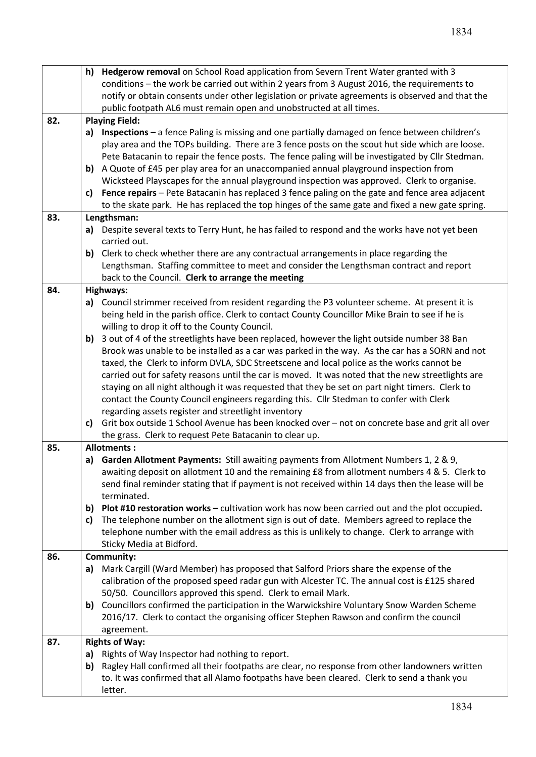|     |            | h) Hedgerow removal on School Road application from Severn Trent Water granted with 3             |  |  |  |  |  |
|-----|------------|---------------------------------------------------------------------------------------------------|--|--|--|--|--|
|     |            | conditions - the work be carried out within 2 years from 3 August 2016, the requirements to       |  |  |  |  |  |
|     |            | notify or obtain consents under other legislation or private agreements is observed and that the  |  |  |  |  |  |
|     |            | public footpath AL6 must remain open and unobstructed at all times.                               |  |  |  |  |  |
| 82. |            | <b>Playing Field:</b>                                                                             |  |  |  |  |  |
|     |            | a) Inspections - a fence Paling is missing and one partially damaged on fence between children's  |  |  |  |  |  |
|     |            | play area and the TOPs building. There are 3 fence posts on the scout hut side which are loose.   |  |  |  |  |  |
|     |            | Pete Batacanin to repair the fence posts. The fence paling will be investigated by Cllr Stedman.  |  |  |  |  |  |
|     |            | b) A Quote of £45 per play area for an unaccompanied annual playground inspection from            |  |  |  |  |  |
|     |            | Wicksteed Playscapes for the annual playground inspection was approved. Clerk to organise.        |  |  |  |  |  |
|     | c)         | Fence repairs - Pete Batacanin has replaced 3 fence paling on the gate and fence area adjacent    |  |  |  |  |  |
|     |            | to the skate park. He has replaced the top hinges of the same gate and fixed a new gate spring.   |  |  |  |  |  |
| 83. |            | Lengthsman:                                                                                       |  |  |  |  |  |
|     |            | a) Despite several texts to Terry Hunt, he has failed to respond and the works have not yet been  |  |  |  |  |  |
|     |            | carried out.                                                                                      |  |  |  |  |  |
|     | b)         | Clerk to check whether there are any contractual arrangements in place regarding the              |  |  |  |  |  |
|     |            | Lengthsman. Staffing committee to meet and consider the Lengthsman contract and report            |  |  |  |  |  |
|     |            | back to the Council. Clerk to arrange the meeting                                                 |  |  |  |  |  |
| 84. |            | Highways:                                                                                         |  |  |  |  |  |
|     |            | a) Council strimmer received from resident regarding the P3 volunteer scheme. At present it is    |  |  |  |  |  |
|     |            | being held in the parish office. Clerk to contact County Councillor Mike Brain to see if he is    |  |  |  |  |  |
|     |            | willing to drop it off to the County Council.                                                     |  |  |  |  |  |
|     |            | b) 3 out of 4 of the streetlights have been replaced, however the light outside number 38 Ban     |  |  |  |  |  |
|     |            | Brook was unable to be installed as a car was parked in the way. As the car has a SORN and not    |  |  |  |  |  |
|     |            | taxed, the Clerk to inform DVLA, SDC Streetscene and local police as the works cannot be          |  |  |  |  |  |
|     |            | carried out for safety reasons until the car is moved. It was noted that the new streetlights are |  |  |  |  |  |
|     |            | staying on all night although it was requested that they be set on part night timers. Clerk to    |  |  |  |  |  |
|     |            | contact the County Council engineers regarding this. Cllr Stedman to confer with Clerk            |  |  |  |  |  |
|     |            | regarding assets register and streetlight inventory                                               |  |  |  |  |  |
|     | c)         | Grit box outside 1 School Avenue has been knocked over - not on concrete base and grit all over   |  |  |  |  |  |
|     |            | the grass. Clerk to request Pete Batacanin to clear up.                                           |  |  |  |  |  |
| 85. |            | <b>Allotments:</b>                                                                                |  |  |  |  |  |
|     |            | a) Garden Allotment Payments: Still awaiting payments from Allotment Numbers 1, 2 & 9,            |  |  |  |  |  |
|     |            | awaiting deposit on allotment 10 and the remaining £8 from allotment numbers 4 & 5. Clerk to      |  |  |  |  |  |
|     |            | send final reminder stating that if payment is not received within 14 days then the lease will be |  |  |  |  |  |
|     |            | terminated.                                                                                       |  |  |  |  |  |
|     |            | b) Plot #10 restoration works - cultivation work has now been carried out and the plot occupied.  |  |  |  |  |  |
|     | C)         | The telephone number on the allotment sign is out of date. Members agreed to replace the          |  |  |  |  |  |
|     |            | telephone number with the email address as this is unlikely to change. Clerk to arrange with      |  |  |  |  |  |
|     |            | Sticky Media at Bidford.                                                                          |  |  |  |  |  |
| 86. |            | Community:                                                                                        |  |  |  |  |  |
|     | a)         | Mark Cargill (Ward Member) has proposed that Salford Priors share the expense of the              |  |  |  |  |  |
|     |            | calibration of the proposed speed radar gun with Alcester TC. The annual cost is £125 shared      |  |  |  |  |  |
|     |            | 50/50. Councillors approved this spend. Clerk to email Mark.                                      |  |  |  |  |  |
|     |            | b) Councillors confirmed the participation in the Warwickshire Voluntary Snow Warden Scheme       |  |  |  |  |  |
|     |            | 2016/17. Clerk to contact the organising officer Stephen Rawson and confirm the council           |  |  |  |  |  |
|     | agreement. |                                                                                                   |  |  |  |  |  |
| 87. |            | <b>Rights of Way:</b>                                                                             |  |  |  |  |  |
|     |            | a) Rights of Way Inspector had nothing to report.                                                 |  |  |  |  |  |
|     | b)         | Ragley Hall confirmed all their footpaths are clear, no response from other landowners written    |  |  |  |  |  |
|     |            | to. It was confirmed that all Alamo footpaths have been cleared. Clerk to send a thank you        |  |  |  |  |  |
|     |            | letter.                                                                                           |  |  |  |  |  |
|     |            |                                                                                                   |  |  |  |  |  |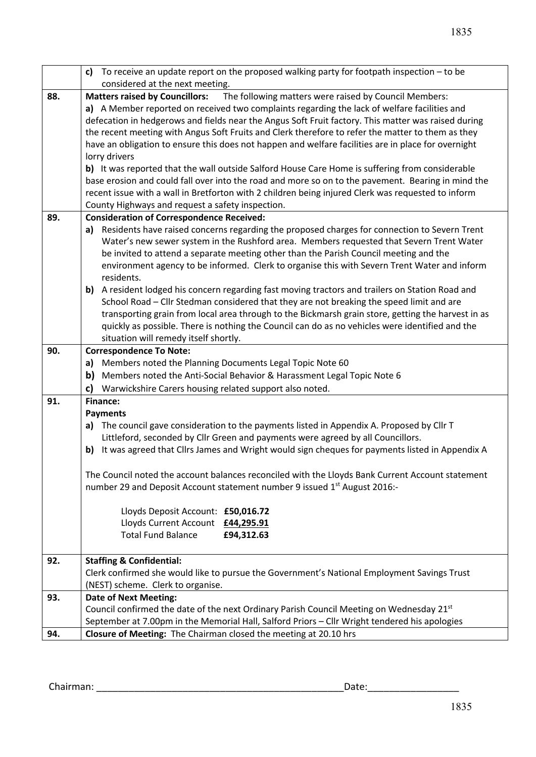|     | c) To receive an update report on the proposed walking party for footpath inspection $-$ to be                                                                                    |  |  |  |  |  |
|-----|-----------------------------------------------------------------------------------------------------------------------------------------------------------------------------------|--|--|--|--|--|
|     | considered at the next meeting.                                                                                                                                                   |  |  |  |  |  |
| 88. | The following matters were raised by Council Members:<br><b>Matters raised by Councillors:</b>                                                                                    |  |  |  |  |  |
|     | a) A Member reported on received two complaints regarding the lack of welfare facilities and                                                                                      |  |  |  |  |  |
|     | defecation in hedgerows and fields near the Angus Soft Fruit factory. This matter was raised during                                                                               |  |  |  |  |  |
|     | the recent meeting with Angus Soft Fruits and Clerk therefore to refer the matter to them as they                                                                                 |  |  |  |  |  |
|     | have an obligation to ensure this does not happen and welfare facilities are in place for overnight                                                                               |  |  |  |  |  |
|     | lorry drivers                                                                                                                                                                     |  |  |  |  |  |
|     | b) It was reported that the wall outside Salford House Care Home is suffering from considerable                                                                                   |  |  |  |  |  |
|     | base erosion and could fall over into the road and more so on to the pavement. Bearing in mind the                                                                                |  |  |  |  |  |
|     | recent issue with a wall in Bretforton with 2 children being injured Clerk was requested to inform                                                                                |  |  |  |  |  |
|     | County Highways and request a safety inspection.                                                                                                                                  |  |  |  |  |  |
| 89. | <b>Consideration of Correspondence Received:</b>                                                                                                                                  |  |  |  |  |  |
|     | a) Residents have raised concerns regarding the proposed charges for connection to Severn Trent                                                                                   |  |  |  |  |  |
|     | Water's new sewer system in the Rushford area. Members requested that Severn Trent Water                                                                                          |  |  |  |  |  |
|     | be invited to attend a separate meeting other than the Parish Council meeting and the                                                                                             |  |  |  |  |  |
|     | environment agency to be informed. Clerk to organise this with Severn Trent Water and inform                                                                                      |  |  |  |  |  |
|     | residents.                                                                                                                                                                        |  |  |  |  |  |
|     | b) A resident lodged his concern regarding fast moving tractors and trailers on Station Road and                                                                                  |  |  |  |  |  |
|     | School Road - Cllr Stedman considered that they are not breaking the speed limit and are                                                                                          |  |  |  |  |  |
|     | transporting grain from local area through to the Bickmarsh grain store, getting the harvest in as                                                                                |  |  |  |  |  |
|     | quickly as possible. There is nothing the Council can do as no vehicles were identified and the                                                                                   |  |  |  |  |  |
|     | situation will remedy itself shortly.                                                                                                                                             |  |  |  |  |  |
| 90. | <b>Correspondence To Note:</b>                                                                                                                                                    |  |  |  |  |  |
|     | a) Members noted the Planning Documents Legal Topic Note 60                                                                                                                       |  |  |  |  |  |
|     | b) Members noted the Anti-Social Behavior & Harassment Legal Topic Note 6                                                                                                         |  |  |  |  |  |
|     | Warwickshire Carers housing related support also noted.<br>c)                                                                                                                     |  |  |  |  |  |
| 91. | <b>Finance:</b>                                                                                                                                                                   |  |  |  |  |  |
|     | <b>Payments</b>                                                                                                                                                                   |  |  |  |  |  |
|     | The council gave consideration to the payments listed in Appendix A. Proposed by Cllr T<br>a)                                                                                     |  |  |  |  |  |
|     | Littleford, seconded by Cllr Green and payments were agreed by all Councillors.<br>It was agreed that Clirs James and Wright would sign cheques for payments listed in Appendix A |  |  |  |  |  |
|     | b)                                                                                                                                                                                |  |  |  |  |  |
|     | The Council noted the account balances reconciled with the Lloyds Bank Current Account statement                                                                                  |  |  |  |  |  |
|     | number 29 and Deposit Account statement number 9 issued 1 <sup>st</sup> August 2016:-                                                                                             |  |  |  |  |  |
|     |                                                                                                                                                                                   |  |  |  |  |  |
|     | Lloyds Deposit Account: £50,016.72                                                                                                                                                |  |  |  |  |  |
|     | Lloyds Current Account £44,295.91                                                                                                                                                 |  |  |  |  |  |
|     | <b>Total Fund Balance</b><br>£94,312.63                                                                                                                                           |  |  |  |  |  |
|     |                                                                                                                                                                                   |  |  |  |  |  |
| 92. | <b>Staffing &amp; Confidential:</b>                                                                                                                                               |  |  |  |  |  |
|     | Clerk confirmed she would like to pursue the Government's National Employment Savings Trust                                                                                       |  |  |  |  |  |
|     | (NEST) scheme. Clerk to organise.                                                                                                                                                 |  |  |  |  |  |
| 93. | <b>Date of Next Meeting:</b>                                                                                                                                                      |  |  |  |  |  |
|     | Council confirmed the date of the next Ordinary Parish Council Meeting on Wednesday 21 <sup>st</sup>                                                                              |  |  |  |  |  |
|     | September at 7.00pm in the Memorial Hall, Salford Priors - Cllr Wright tendered his apologies                                                                                     |  |  |  |  |  |
| 94. | Closure of Meeting: The Chairman closed the meeting at 20.10 hrs                                                                                                                  |  |  |  |  |  |

Chairman: \_\_\_\_\_\_\_\_\_\_\_\_\_\_\_\_\_\_\_\_\_\_\_\_\_\_\_\_\_\_\_\_\_\_\_\_\_\_\_\_\_\_\_\_\_\_Date:\_\_\_\_\_\_\_\_\_\_\_\_\_\_\_\_\_